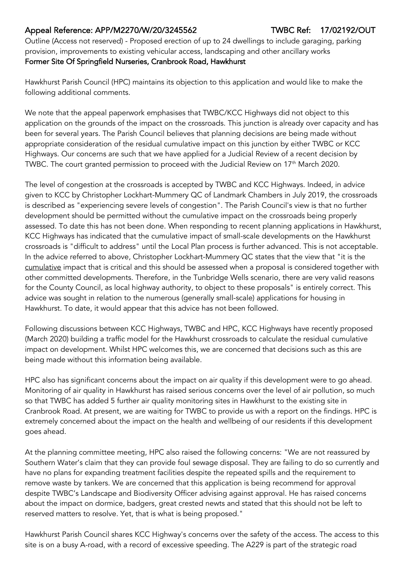## Appeal Reference: APP/M2270/W/20/3245562 TWBC Ref: 17/02192/OUT

Outline (Access not reserved) - Proposed erection of up to 24 dwellings to include garaging, parking provision, improvements to existing vehicular access, landscaping and other ancillary works Former Site Of Springfield Nurseries, Cranbrook Road, Hawkhurst

Hawkhurst Parish Council (HPC) maintains its objection to this application and would like to make the following additional comments.

We note that the appeal paperwork emphasises that TWBC/KCC Highways did not object to this application on the grounds of the impact on the crossroads. This junction is already over capacity and has been for several years. The Parish Council believes that planning decisions are being made without appropriate consideration of the residual cumulative impact on this junction by either TWBC or KCC Highways. Our concerns are such that we have applied for a Judicial Review of a recent decision by TWBC. The court granted permission to proceed with the Judicial Review on 17<sup>th</sup> March 2020.

The level of congestion at the crossroads is accepted by TWBC and KCC Highways. Indeed, in advice given to KCC by Christopher Lockhart-Mummery QC of Landmark Chambers in July 2019, the crossroads is described as "experiencing severe levels of congestion". The Parish Council's view is that no further development should be permitted without the cumulative impact on the crossroads being properly assessed. To date this has not been done. When responding to recent planning applications in Hawkhurst, KCC Highways has indicated that the cumulative impact of small-scale developments on the Hawkhurst crossroads is "difficult to address" until the Local Plan process is further advanced. This is not acceptable. In the advice referred to above, Christopher Lockhart-Mummery QC states that the view that "it is the cumulative impact that is critical and this should be assessed when a proposal is considered together with other committed developments. Therefore, in the Tunbridge Wells scenario, there are very valid reasons for the County Council, as local highway authority, to object to these proposals" is entirely correct. This advice was sought in relation to the numerous (generally small-scale) applications for housing in Hawkhurst. To date, it would appear that this advice has not been followed.

Following discussions between KCC Highways, TWBC and HPC, KCC Highways have recently proposed (March 2020) building a traffic model for the Hawkhurst crossroads to calculate the residual cumulative impact on development. Whilst HPC welcomes this, we are concerned that decisions such as this are being made without this information being available.

HPC also has significant concerns about the impact on air quality if this development were to go ahead. Monitoring of air quality in Hawkhurst has raised serious concerns over the level of air pollution, so much so that TWBC has added 5 further air quality monitoring sites in Hawkhurst to the existing site in Cranbrook Road. At present, we are waiting for TWBC to provide us with a report on the findings. HPC is extremely concerned about the impact on the health and wellbeing of our residents if this development goes ahead.

At the planning committee meeting, HPC also raised the following concerns: "We are not reassured by Southern Water's claim that they can provide foul sewage disposal. They are failing to do so currently and have no plans for expanding treatment facilities despite the repeated spills and the requirement to remove waste by tankers. We are concerned that this application is being recommend for approval despite TWBC's Landscape and Biodiversity Officer advising against approval. He has raised concerns about the impact on dormice, badgers, great crested newts and stated that this should not be left to reserved matters to resolve. Yet, that is what is being proposed."

Hawkhurst Parish Council shares KCC Highway's concerns over the safety of the access. The access to this site is on a busy A-road, with a record of excessive speeding. The A229 is part of the strategic road